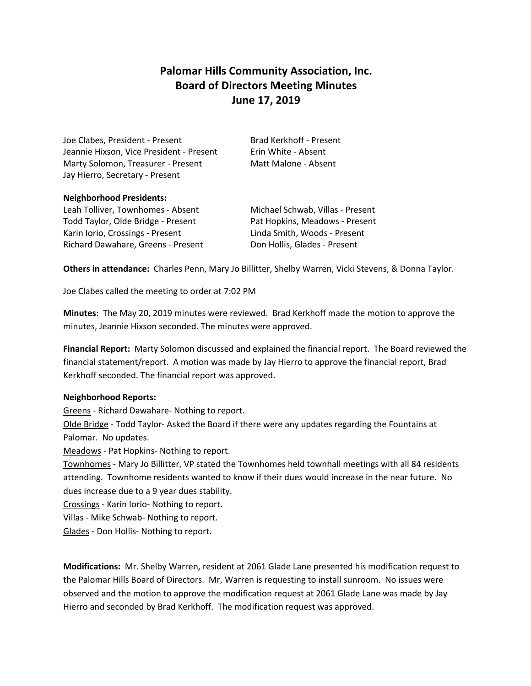# **Palomar Hills Community Association, Inc. Board of Directors Meeting Minutes June 17, 2019**

Joe Clabes, President - Present Brad Kerkhoff - Present Jeannie Hixson, Vice President - Present Frin White - Absent Marty Solomon, Treasurer - Present Matt Malone - Absent Jay Hierro, Secretary - Present

### **Neighborhood Presidents:**

Leah Tolliver, Townhomes - Absent Michael Schwab, Villas - Present Todd Taylor, Olde Bridge - Present Pat Hopkins, Meadows - Present Karin Iorio, Crossings - Present Linda Smith, Woods - Present Richard Dawahare, Greens - Present Don Hollis, Glades - Present

**Others in attendance:** Charles Penn, Mary Jo Billitter, Shelby Warren, Vicki Stevens, & Donna Taylor.

Joe Clabes called the meeting to order at 7:02 PM

**Minutes**: The May 20, 2019 minutes were reviewed. Brad Kerkhoff made the motion to approve the minutes, Jeannie Hixson seconded. The minutes were approved.

**Financial Report:** Marty Solomon discussed and explained the financial report. The Board reviewed the financial statement/report. A motion was made by Jay Hierro to approve the financial report, Brad Kerkhoff seconded. The financial report was approved.

#### **Neighborhood Reports:**

Greens - Richard Dawahare- Nothing to report.

Olde Bridge - Todd Taylor- Asked the Board if there were any updates regarding the Fountains at Palomar. No updates.

Meadows - Pat Hopkins- Nothing to report.

Townhomes - Mary Jo Billitter, VP stated the Townhomes held townhall meetings with all 84 residents attending. Townhome residents wanted to know if their dues would increase in the near future. No dues increase due to a 9 year dues stability.

Crossings - Karin Iorio- Nothing to report.

Villas - Mike Schwab- Nothing to report.

Glades - Don Hollis- Nothing to report.

**Modifications:** Mr. Shelby Warren, resident at 2061 Glade Lane presented his modification request to the Palomar Hills Board of Directors. Mr, Warren is requesting to install sunroom. No issues were observed and the motion to approve the modification request at 2061 Glade Lane was made by Jay Hierro and seconded by Brad Kerkhoff. The modification request was approved.